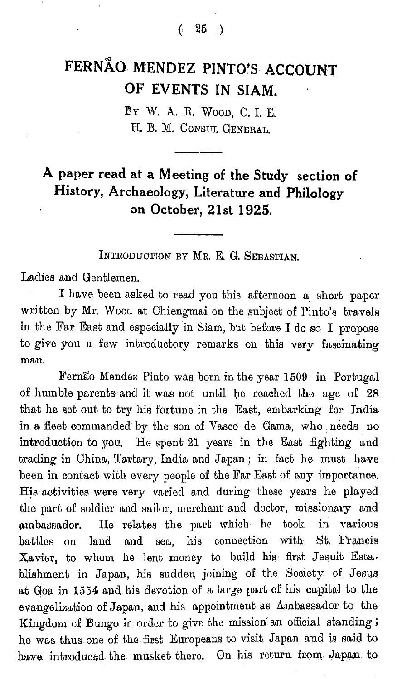$(25)$ 

## **FERNAO. MENDEZ PINTO'S ACCOUNT OF EVENTS IN SIAM.**

BY W. A. R. WOOD, C. I. E. H. B. M. CoNsur, GENERAL.

**A paper read at a Meeting of the Study section of History, Archaeology, Literature and Philology on October, 21st 1925.** 

INTRODUCTION BY MR. E. G. SEBASTIAN.

Ladies and Gentlemen.

I have been asked to read you this afternoon a short paper written by Mr. Wood at Chiengmai on the subject of Pinto's travels in the Far East and especially in Siam, but before I do so I propose to give you a few introductory remarks on this very fascinating man.

Fernão Mendez Pinto was born in the year 1509 in Portugal of humble parents and it was not until he reached the age of 28 that he set out to try his fortune in the East, embarking for India in a fleet commanded by the son of Vasco de Gama, who needs no introduction to you. He spent 21 years in the East fighting and trading in China, Tartary, India and Japan; in fact he must have been in contact with every people of the Far East of any importance. His activities were very varied and during these years he played the part of soldier and sailor, merchant and doctor, missionary and ambassador. He relates the part which he took in various battles on land and sea, his connection with St. Francis Xavier, to whom he lent money to build his first Jesuit Establishment in Japan, his sudden joining of the Society o£ Jesus at Goa in 1554 and his devotion of a large part of his capital to the evangelization o£Japan, and his appointment as Ambassador to the Kingdom of Bungo in order to give the mission' an official standing ; he was thus one of the first Europeans to visit Japan and is said to have introduced the musket there. On his return from Japan to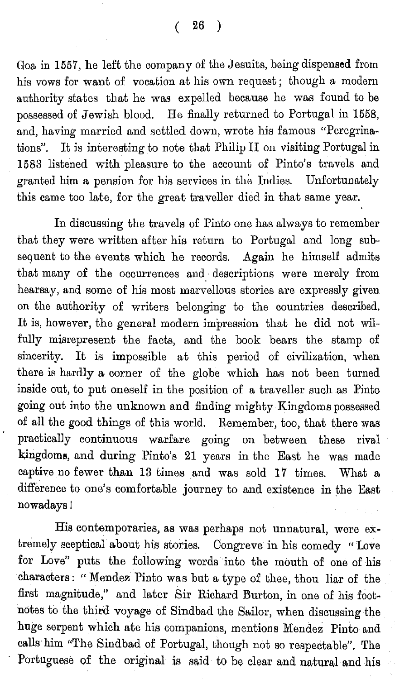Goa in 1557, he left the company of the Jesuits, being dispensed from his vows for want of vocation at his own request; though a modern authority states that he was expelled because he was found to be possessed of Jewish blood. He finally returned to Portugal in 1558, and, having married and settled down, wrote his famous "Peregrinations". It is interesting to note that Philip II on visiting Portugal in 1583 listened with pleasure to the account of Pinto's travels and granted him a pension for his services in the Indies. Unfortunately this came too late, for the great traveller died in that same year.

In discussing the travels of Pinto one has always to remember that they were written after his return to Portugal and long subsequent to the events which he records. Again he himself admits that many of the occurrences and. descriptions were merely from hearsay, and some of his most marvellous stories are expressly given on the authority of writers belonging to the countries described. It is, however, the general modern impression that he did not wilfully misrepresent the facts, and the book bears the stamp of sincerity. It is impossible at this period of civilization, when there is hardly a corner of the globe which has not been turned inside out, to put oneself in the position of a traveller such as Pinto going out into the unknown and finding mighty Kingdoms possessed of all the good things of this world. Remember, too, that there was practically continuous warfare going on between these rival kingdoms, and during Pinto's 21 years in the East he was made captive no fewer than 13 times and was sold 17 times. What a difference to one's comfortable journey to and existence in the East nowadays!

His contemporaries, as was perhaps not unnatural, were extremely sceptical about his stories. Congreve in his comedy "Love for Love" puts the following words into the mouth of one of his characters : " Mendez Pinto was but a type of thee, thou liar of the first magnitude," and later Sir Richard Burton, in one of his footnotes to the third voyage of Sindbad the Sailor, when discussing the huge serpent which ate his companions, mentions Mendez Pinto and calls·him "The Sindbad of Portugal, though not so respectable". The Portuguese of the original is said to be clear and natural and his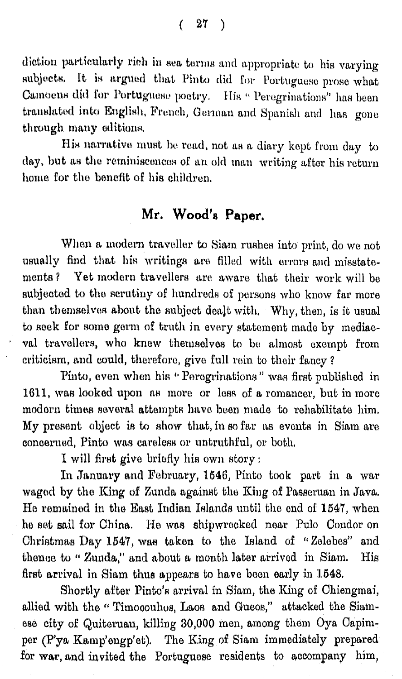$(27)$ 

diction particularly rich in sea terms and appropriate to his varying subjects. It is argued that Pinto did for Portuguese prose what Camoens did for Portuguese poetry. His "Peregrinations" has been translated into English, French, German and Spanish and has gone through many editions.

His narrative must be read, not as a diary kept from day to day, but as the reminiscences of an old man writing after his return home for the benefit of his children.

## Mr. Wood's Paper.

When a modern traveller to Siam rushes into print, do we not usually find that his writings are filled with errors and misstatements? Yet modern travellers are aware that their work will be subjected to the scrutiny of hundreds of persons who know far more than themselves about the subject dealt with. Why, then, is it usual to seek for some germ of truth in every statement made by mediaeval travellers, who knew themselves to be almost exempt from criticism, and could, therefore, give full rein to their fancy?

Pinto, even when his "Peregrinations" was first published in 1611, was looked upon as more or less of a romancer, but in more modern times several attempts have been made to rehabilitate him. My present object is to show that, in so far as events in Siam are concerned. Pinto was careless or untruthful, or both,

I will first give briefly his own story:

In January and February, 1546, Pinto took part in a war waged by the King of Zunda against the King of Passeruan in Java. He remained in the East Indian Islands until the end of 1547, when he set sail for China. He was shipwrecked near Pulo Condor on Christmas Day 1547, was taken to the Island of "Zelebes"  $and$ thence to "Zunda," and about a month later arrived in Siam. His first arrival in Siam thus appears to have been early in 1548.

Shortly after Pinto's arrival in Siam, the King of Chiengmai, allied with the "Timocouhos, Laos and Gueos," attacked the Siamese city of Quiteruan, killing 30,000 men, among them Oya Capimper (P'ya Kamp'engp'et). The King of Siam immediately prepared for war, and invited the Portuguese residents to accompany him,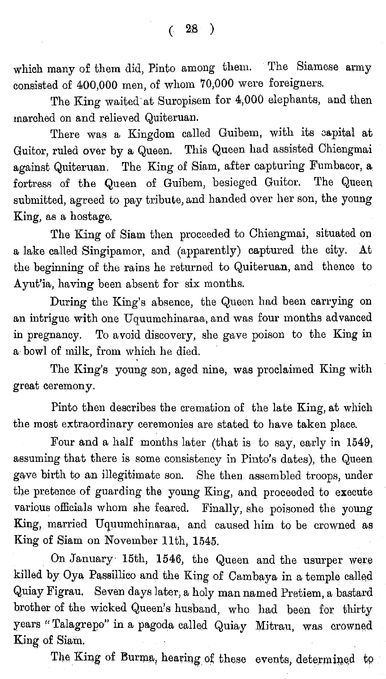which many of them did, Pinto among them. The Siamese army consisted of 400,000 men, of whom 70,000 were foreigners.

The King waited at Suropisem for 4,000 elephants, and then marched on and relieved Quiteruan.

There was a Kingdom called Guibem, with its capital at Guitar, ruled over by a Queen. This Queen had assisted Ohiengmai against Quiteruan. The King of Siam, after capturing Fumbacor, a fortress of the Queen of Guibem, besieged Guitor. The Queen submitted, agreed to pay tribute, and handed over her son, the young King, as a hostage.

The King of Siam then proceeded to Ohiengmai, situated on a lake called Singipamor, and (apparently) captured the city. At the beginning of the rains he returned to Quiteruan, and thence to Ayut'ia, having been absent for six months.

During the King's absence, the Queen had been carrying on an intrigue with one Uquumchinaraa, and was four months advanced in pregnancy. To avoid discovery, she gave poison to the King in a bowl of milk, from which he died.

The King's young son, aged nine, was proclaimed King with great ceremony.

Pinto then describes the cremation of the late King, at which the most extraordinary ceremonies are stated to have taken place.

Four and a half months later (that is to say, early in 1549, assuming that there is some consistency in Pinto's dates), the Queen gave birth to an illegitimate son. She then assembled troops, under the pretence of guarding the young King, and proceeded to execute various officials whom she feared. Finally, she poisoned the young King, married Uquumchinaraa, and caused him to be crowned as King of Siam on November 11th, 1545.

On January· 15th, 1546, the Queen and the usurper were killed by Oya Pa,ssillico and the King of Cambaya in a temple called Quiay Figrau, Seven days later, a holy man named Pretiem, a bastard brother of the wicked Queen's husband, who had been for thirty years "Talagrepo" in a pagoda called Quiay Mitrau, was crowned King of Siam.

The King of Burma, hearing of these events, determined to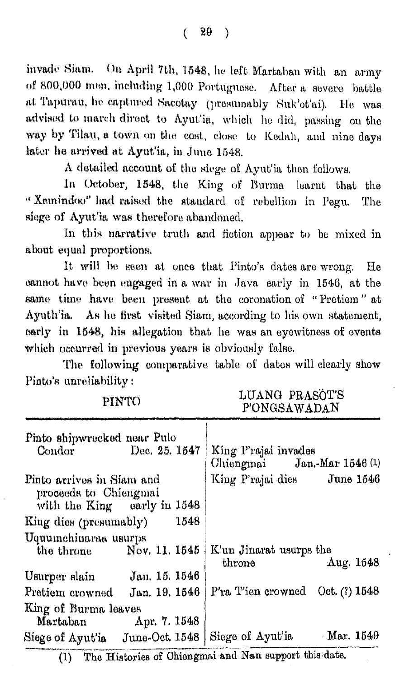invade Siam. On April 7th, 1548, he left Martaban with an army of 800,000 men, including 1,000 Portuguese. After a severe battle at Tapurau, he captured Sacotay (presumably Suk'ot'ai). He was advised to march direct to Ayut'ia, which he did, passing on the way by Tilau, a town on the cost, close to Kedah, and nine days later he arrived at Ayut'ia, in June 1548.

A detailed account of the siege of Ayut'ia then follows.

In October, 1548, the King of Burma learnt that the "Xemindoo" had raised the standard of rebellion in Pegu. The siege of Ayut'ia was therefore abandoned.

In this narrative truth and fiction appear to be mixed in about equal proportions.

It will be seen at once that Pinto's dates are wrong. He cannot have been engaged in a war in Java early in 1546, at the same time have been present at the coronation of "Pretiem" at Ayuth'ia. As he first visited Siam, according to his own statement, early in 1548, his allegation that he was an eyewitness of events which occurred in previous years is obviously false.

The following comparative table of dates will clearly show Pinto's unreliability:

## LUANG PRASOT'S PONGSAWADAN

| Pinto shipwrecked near Pulo                        |                             |                                                       |           |
|----------------------------------------------------|-----------------------------|-------------------------------------------------------|-----------|
| Condor                                             | Dec. 25. 1547               | King Prajai invades<br>Chiengmai Jan.-Mar 1546 (1)    |           |
| Pinto arrives in Siam and<br>proceeds to Chiengmai | with the King early in 1548 | King Prajai dies                                      | June 1546 |
| 1548<br>King dies (presumably)                     |                             |                                                       |           |
| Uquumchinaraa usurps                               |                             |                                                       |           |
|                                                    | the throne $Nov. 11. 1545$  | K'un Jinarat usurps the<br>throne                     | Aug. 1548 |
| Usurper slain                                      | Jan. 15. 1546               |                                                       |           |
| Pretiem crowned                                    | Jan. 19. 1546               | $P$ ra T'ien crowned Oct. (?) 1548                    |           |
| King of Burma leaves<br>Martaban                   | Apr. 7. 1548                |                                                       |           |
| Siege of Ayut'ia                                   | June-Oct. 1548              | Siege of Ayut'ia                                      | Mar. 1549 |
| $\left(1\right)$                                   |                             | The Histories of Chiengmai and Nan support this date. |           |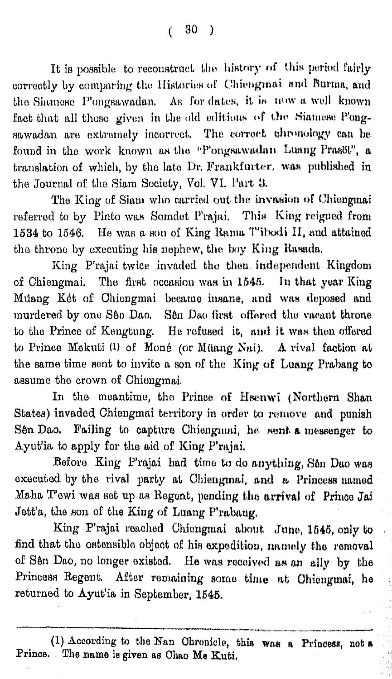$(30)$ 

It is possible to reconstruct the history of this period fairly correctly by comparing the Histories of Chiengmai and Burma, and the Siamese P'ongsawadan. As for dates, it is now a well known fact that all those given in the old editions of the Siamese Pongsawadan are extremely incorrect. The correct chronology can be found in the work known as the "Pongsawadan Luang Prasöt", a translation of which, by the late Dr. Frankfurter, was published in the Journal of the Siam Society, Vol. VI. Part 3.

The King of Siam who carried out the invasion of Chiengmai referred to by Pinto was Somdet Prajai. This King reigned from 1534 to 1546. He was a son of King Rama T'ibodi II, and attained the throne by executing his nephew, the boy King Rasada.

King Prajai twice invaded the then independent Kingdom of Chiengmai. The first occasion was in 1545. In that year King Muang Két of Chiengmai became insane, and was deposed and murdered by one Sên Dao. Sên Dao first offered the vacant throne to the Prince of Kengtung. He refused it, and it was then offered to Prince Mekuti (1) of Moné (or Müang Nai). A rival faction at the same time sent to invite a son of the King of Luang Prabang to assume the crown of Chiengmai.

In the meantime, the Prince of Hsenwi (Northern Shan States) invaded Chiengmai territory in order to remove and punish Sên Dao. Failing to capture Chiengmai, he sent a messenger to Ayut'ia to apply for the aid of King P'rajai.

Before King Prajai had time to do anything, Sen Dao was executed by the rival party at Chiengmai, and a Princess named Maha T'ewi was set up as Regent, pending the arrival of Prince Jai Jett'a, the son of the King of Luang P'rabang.

King P'rajai reached Chiengmai about June, 1545, only to find that the ostensible object of his expedition, namely the removal of Sen Dao, no longer existed. He was received as an ally by the Princess Regent. After remaining some time at Chiengmai, he returned to Ayut'ia in September, 1545.

(1) According to the Nan Chronicle, this was a Princess, not a Prince. The name is given as Chao Me Kuti.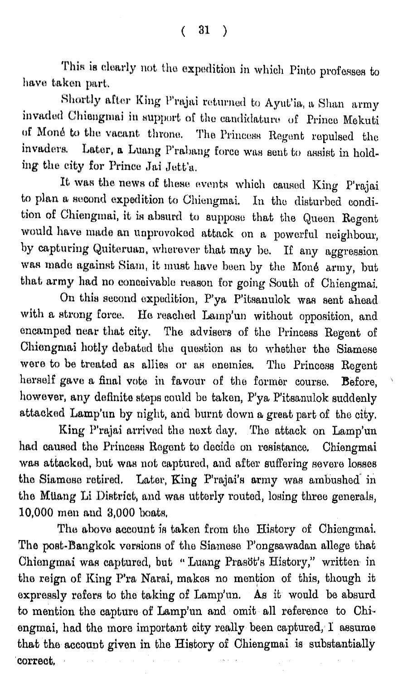This is clearly not the expedition in which Pinto professes to have taken part.

Shortly after King Prajai returned to Ayut'ia, a Shan army invaded Chiengmai in support of the candidature of Prince Mekuti of Moné to the vacant throne. The Princess Regent repulsed the invaders. Later, a Luang Prabang force was sent to assist in holding the city for Prince Jai Jett'a.

It was the news of these events which caused King Prajai to plan a second expedition to Chiengmai. In the disturbed condition of Chiengmai, it is absurd to suppose that the Queen Regent would have made an unprovoked attack on a powerful neighbour, by capturing Quiteruan, wherever that may be. If any aggression was made against Siam, it must have been by the Moné army, but that army had no conceivable reason for going South of Chiengmai.

On this second expedition, P'ya P'itsanulok was sent ahead with a strong force. He reached Lamp'un without opposition, and encamped near that city. The advisers of the Princess Regent of Chiengmai hotly debated the question as to whether the Siamese were to be treated as allies or as enemies. The Princess Regent herself gave a final vote in favour of the former course. Before. however, any definite steps could be taken, P'ya P'itsanulok suddenly attacked Lamp'un by night, and burnt down a great part of the city.

King Prajai arrived the next day. The attack on Lamp'un had caused the Princess Regent to decide on resistance. Chiengmai was attacked, but was not captured, and after suffering severe losses the Siamese retired. Later, King P'rajai's army was ambushed in the Müang Li District, and was utterly routed, losing three generals, 10.000 men and 3,000 boats.

The above account is taken from the History of Chiengmai. The post-Bangkok versions of the Siamese P'ongsawadan allege that Chiengmai was captured, but "Luang Prasöt's History," written in the reign of King P'ra Narai, makes no mention of this, though it expressly refers to the taking of Lamp'un. As it would be absurd to mention the capture of Lamp'un and omit all reference to Chiengmai, had the more important city really been captured, I assume that the account given in the History of Chiengmai is substantially correct.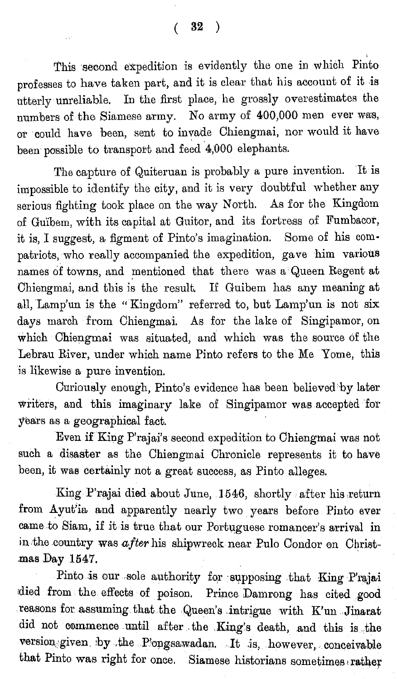This second expedition is evidently the one in which Pinto professes to have taken part, and it is clear that his account of it is utterly unreliable. In the first place, he grossly overestimates the numbers of the Siamese army. No army of 400,000 men ever was, or could have been, sent to invade Chiengmai, nor would it have been possible to transport and feed 4,000 elephants.

The capture of Quiteruan is probably a pure invention. It is impossible to identify the city, and it is very doubtful whether any serious fighting took place on the way North. As for the Kingdom of Guibem, with its capital at Guitor, and its fortress of Fumbacor, it is, I suggest, a figment of Pinto's imagination. Some of his compatriots, who really accompanied the expedition, gave him various names of towns, and mentioned that there was a Queen Regent at Ohiengmai, and this is the result. If Guibem has any meaning at all, Lamp'un is the "Kingdom" referred to, but Lamp'un is not six days march from Chiengmai. As for the lake of Singipamor, on which Ohiengmai was situated, and which was the source of the Lebrau River, under which name Pinto refers to the Me Yome, this is likewise a pure invention.

Curiously enough, Pinto's evidence has been believed by later writers, and this imaginary lake of Singipamor was accepted for years as a geographical fact.

Even if King P'rajai's second expedition to Chiengmai was not such a disaster as the Chiengmai Chronicle represents it to have been, it was certainly not a great success, as Pinto alleges.

King P'rajai died about June, 1546, shortly after his return from Ayut'ia and apparently nearly two years before Pinto ever came to Siam, if it is true that our Portuguese romancer's arrival in in,the country was *after* his shipwreck near Pulo Condor 0n Christmas Day 1547.

Pinto is our sole authority for supposing that King P'rajai died from the. effects of poison. Prince Damrong has cited good reasons for assuming that the Queen's intrigue with K'un Jinarat did not commence until after the King's death, and this is the version given by the Pongsawadan. It is, however, conceivable that Pinto was right for once. Siamese historians sometimes, rather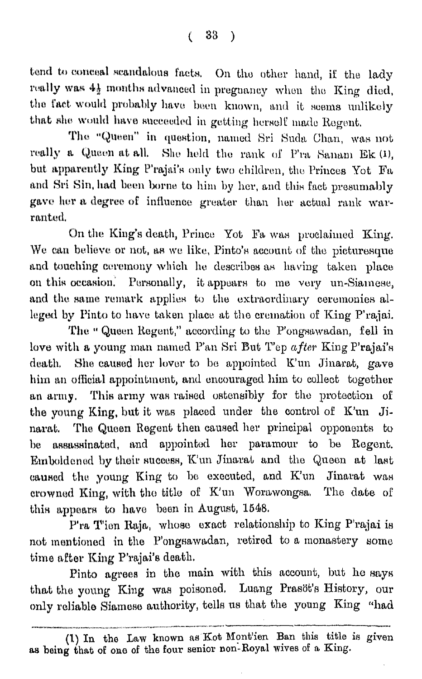tend to conceal scandalous facts. On the other hand, if the lady really was  $4\frac{1}{2}$  months advanced in pregnancy when the King died, the fact would probably have been known, and it seems unlikely that she would have succeeded in getting herself made Regent.

The "Queen" in question, named Sri Suda Chan, was not really a Queen at all. She held the rank of Pra Sanam Ek (1), but apparently King Prajai's only two children, the Princes Yot Fa and Sri Sin, had been borne to him by her, and this fact presumably gave her a degree of influence greater than her actual rank warranted.

On the King's death, Prince Yot Fa was proclaimed King. We can believe or not, as we like, Pinto's account of the picturesque and touching ceremony which he describes as having taken place on this occasion. Personally, it appears to me very un-Siamese, and the same remark applies to the extraordinary ceremonies alleged by Pinto to have taken place at the cremation of King P'rajai.

The "Queen Regent," according to the P'ongsawadan, fell in love with a young man named P'an Sri But T'ep after King P'rajai's death. She caused her lover to be appointed K'un Jinarat, gave him an official appointment, and encouraged him to collect together an army. This army was raised ostensibly for the protection of the young King, but it was placed under the control of K'un Ji-The Queen Regent then caused her principal opponents to narat. be assassinated, and appointed her paramour to be Regent. Emboldened by their success, K'un Jinarat and the Queen at last caused the young King to be executed, and K'un Jinarat was crowned King, with the title of K'un Worawongsa. The date of this appears to have been in August, 1548.

P'ra T'ien Raja, whose exact relationship to King P'rajai is not mentioned in the P'ongsawadan, retired to a monastery some time after King P'rajai's death.

Pinto agrees in the main with this account, but he says that the young King was poisoned. Luang Prasöt's History, our only reliable Siamese authority, tells us that the young King "had

(1) In the Law known as Kot Mont'ien Ban this title is given as being that of one of the four senior non-Royal wives of a King.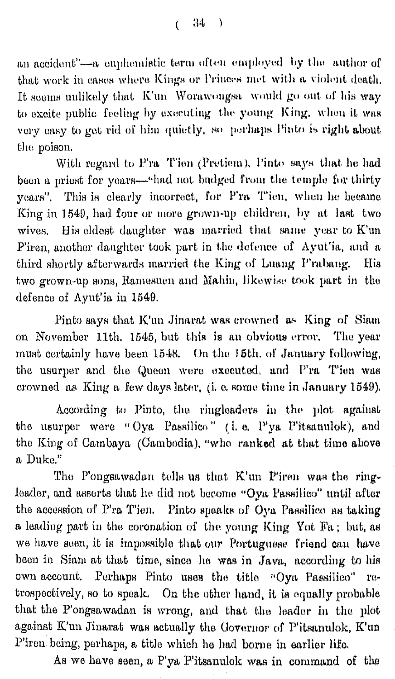$(-34)$ 

an accident"-a euphemistic term often employed by the author of that work in cases where Kings or Princes met with a violent death. It seems unlikely that K'un Worawongsa would go out of his way to excite public feeling by executing the young King, when it was very easy to get rid of him quietly, so perhaps Pinto is right about the poison.

With regard to P'ra T'ien (Pretiem), Pinto says that he had been a priest for years-"had not budged from the temple for thirty years". This is clearly incorrect, for P'ra T'ien, when he became King in 1549, had four or more grown-up children, by at last two His eldest daughter was married that same year to K'un wives. P'iren, another daughter took part in the defence of Ayut'ia, and a third shortly afterwards married the King of Luang Prabang. His two grown-up sons, Ramesuen and Mahin, likewise took part in the defence of Ayut'ia in 1549.

Pinto says that K'un Jinarat was crowned as King of Siam on November 11th. 1545, but this is an obvious error. The year must certainly have been 1548. On the 15th, of January following, the usurper and the Queen were executed, and P'ra T'ien was crowned as King a few days later, (i. e. some time in January 1549).

According to Pinto, the ringleaders in the plot against the usurper were "Oya Passilico" (i.e. P'ya P'itsanulok), and the King of Cambaya (Cambodia), "who ranked at that time above a Duke."

The P'ongsawadan tells us that K'un P'iren was the ringleader, and asserts that he did not become "Oya Passilico" until after the accession of Pra T'ien. Pinto speaks of Oya Passilico as taking a leading part in the coronation of the young King Yot Fa; but, as we have seen, it is impossible that our Portuguese friend can have been in Siam at that time, since he was in Java, according to his own account. Perhaps Pinto uses the title "Oya Passilico" retrospectively, so to speak. On the other hand, it is equally probable that the P'ongsawadan is wrong, and that the leader in the plot against K'un Jinarat was actually the Governor of P'itsanulok, K'un P'iren being, perhaps, a title which he had borne in earlier life.

As we have seen, a P'ya P'itsanulok was in command of the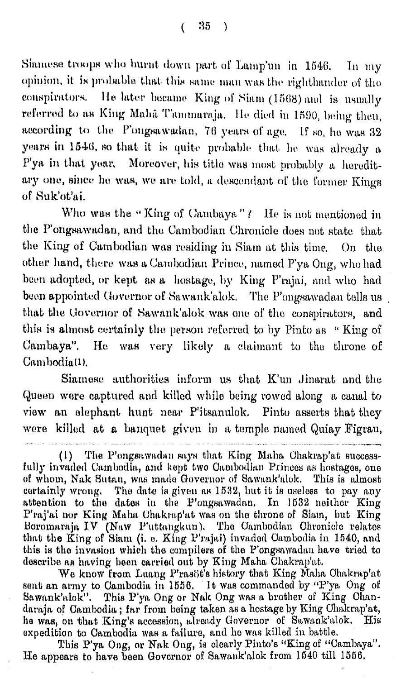Siamese troops who burnt down part of Lamp'un in 1546. In my opinion, it is probable that this same man was the righthander of the conspirators. He later became King of Siam (1568) and is usually referred to as King Maha Tammaraja. He died in 1590, being then, according to the Pongsawadan, 76 years of age. If so, he was 32 years in 1546, so that it is quite probable that he was already a P'ya in that year. Moreover, his title was most probably a hereditary one, since he was, we are told, a descendant of the former Kings of Suk'ot'ai.

Who was the "King of Cambaya"? He is not mentioned in the P'ongsawadan, and the Cambodian Chronicle does not state that the King of Cambodian was residing in Siam at this time. On the other hand, there was a Cambodian Prince, named P'ya Ong, who had been adopted, or kept as a hostage, by King Prajai, and who had been appointed Governor of Sawank'alok. The P'ongsawadan tells us that the Governor of Sawank'alok was one of the conspirators, and this is almost certainly the person referred to by Pinto as "King of Cambaya". He was very likely a claimant to the throne of Cambodia(1).

Siamese authorities inform us that K'un Jinarat and the Queen were captured and killed while being rowed along a canal to view an elephant hunt near P'itsanulok. Pinto asserts that they were killed at a banquet given in a temple named Quiay Figrau,

We know from Luang P'rasot's history that King Maha Chakrap'at sent an army to Cambodia in 1556. It was commanded by "P'ya Ong of Sawank'alok". This P'ya Ong or Nak Ong was a brother of King Chandaraja of Cambodia; far from being taken as a hostage by King Chakrap'at, he was, on that King's accession, already Governor of Sawank'alok. His expedition to Cambodia was a failure, and he was killed in battle.

This P'ya Ong, or Nak Ong, is clearly Pinto's "King of "Cambaya". He appears to have been Governor of Sawank'alok from 1540 till 1556,

<sup>(1)</sup> The P'ongsawadan says that King Maha Chakrap'at successfully invaded Cambodia, and kept two Cambodian Princes as hostages, one of whom, Nak Sutan, was made Governor of Sawank'alok. This is almost certainly wrong. The date is given as 1532, but it is useless to pay any attention to the dates in the P'ongsawadan. In 1532 neither King P'raj'ai nor King Maha Chakrap'at was on the throne of Siam, but King Boromaraja IV (Naw Puttangkun). The Cambodian Chronicle relates<br>that the King of Siam (i. e. King P'rajai) invaded Cambodia in 1540, and this is the invasion which the compilers of the P'ongsawadan have tried to describe as having been carried out by King Maha Chakrap'at.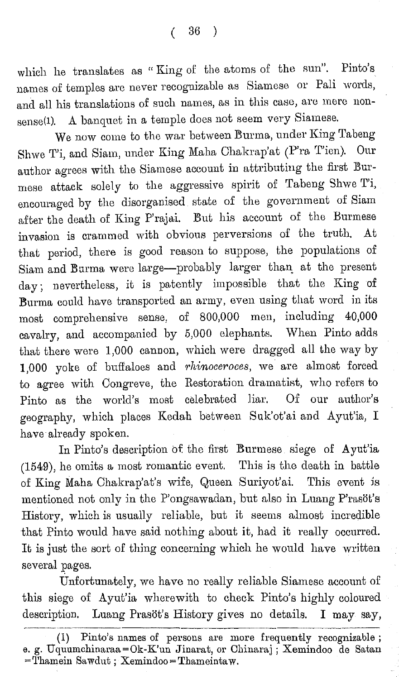$(36)$ 

which he translates as "King of the atoms of the sun". Pinto's names of temples are never recognizable as Siamese or Pali words, and all his translations of such names, as in this case, are mere nonsense(l). A banquet in a temple does not seem very Siamese.

We now come to the war between Burma, under King Tabeng Shwe T'i, and Siam, under King Maha Chakrap'at (P'ra T'ien). Our author agrees with the Siamese account in attributing the first Burmese attack solely to the aggressive spirit of Tabeng Shwe T'i, encouraged by the disorganised state of the government of Siam after the death of King P'rajai. But his account of the Burmese invasion is crammed with obvious perversions of the truth. At that period, there is good reason to suppose, the populations of Siam and Burma were large-probably larger than at the present day; nevertheless, it is patently impossible that the King of Burma could have transported an army, even using that word in its most comprehensive sense, of 800,000 men, including 40,000 cavalry, and accompanied by 5,000 elephants. When Pinto adds that there were 1,000 cannon, which were dragged all the way by 1,000 yoke of buffaloes and *rhinoceroces,* we are almost forced to agree with Congreve, the Restoration dramatist, who refers to Pinto as the world's most celebrated liar. Of our author's geography, which places Kedah between Suk'ot'ai and Ayut'ia, I have already spoken.

In Pinto's description of the first Burmese siege of Ayut'ia  $(1549)$ , he omits a most romantic event. This is the death in battle of King Maha Chakrap'at's wife, Queen Suriyot'ai. This event is mentioned not only in the P'ongsawadan, but also in Luang P'rasöt's History, which is usually reliable, but it seems almost incredible that Pinto would have said nothing about it, had it really occurred. It is just the sort of thing concerning which he would have written several pages.

Unfortunately, we have no really reliable Siamese account of this siege of Ayut'ia wherewith to check Pinto's highly coloured description. Luang Prasöt's History gives no details. I may say,

<sup>(1)</sup> Pinto's names of persons are more frequently recognizable; e. g. Uquumchinaraa=Ok-K'un Jinarat, or Ohinaraj; Xemindoo de Satan ='l'hamein Sawdut; Xemincloo=Thameintaw.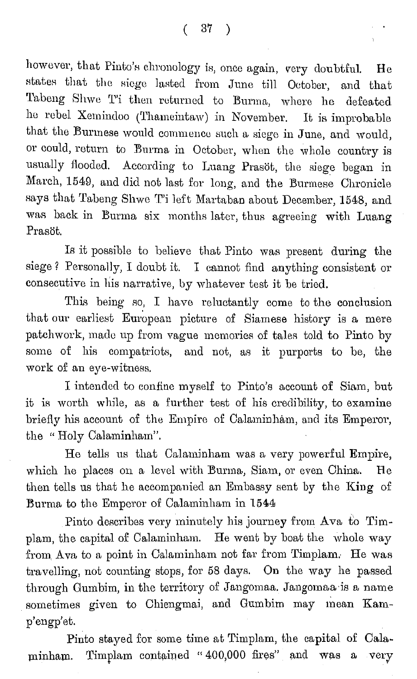however, that Pinto's chronology is, once again, very doubtful. He states that the siege lasted from June till October, and that 1'abeng Sltwe 1"i then returned to Burma, where he defeated he rebel Xemindoo (Thameintaw) in November. It is improbable that the Burmese would commence such a siege in June, and would, or could, return to Burma in October, when the whole country is usually flooded. According to Luang Prasot, the siege began in March, 1549, and did not last for long, and the Burmese Chronicle says that Tabeng Shwe T'i left Martaban about December, 1548, and was back in Burma six months later, thus agreeing with Luang Prasot.

Is it possible to believe that Pinto was present during the siege? Personally, I doubt it. I cannot find anything consistent or consecutive in liis narrative, by whatever test it be tried.

This being so, I have reluctantly come to the conclusion that our earliest European picture of Siamese history is a mere patchwork, made up from vague memories of tales told to Pinto hy some of his compatriots, and not, as it purports to he, the work of an eye-witness.

I intended to confine myself to Pinto's account of Siam, but it is worth while, as a further test of his credibility, to examine briefly his account of the Empire of Calaminham, and its Emperor, the "Holy Calaminham".

He tells us that Calaminham was a very powerful Empire, which he places on a level with Burma, Siam, or even China. He then tells us that he accompanied an Embassy sent by the King of Burma to the Emperor of Calaminham in 1544

Pinto describes very minutely his journey from Ava to Timplam, the capital of Calaminham. He went by boat the whole way from. Ava to a point in Calaminham not far from Timplam. He was travelling, not counting stops, for 58 days. On the way he passed through Gumbim, in the territory of Jangomaa. Jangomaa is a name sometimes given to Chiengmai, and Gumbim may mean Kamp'engp'et.

Pinto stayed for some time at Timplam, the capital of Cala~ minham. Timplam contained "400,000 fires" and was a very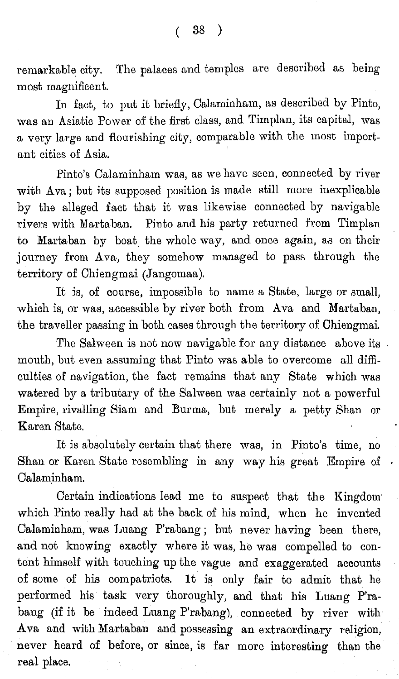remarkable city. The palaces and temples are described as being most magnificent.

In fact, to put it briefly, Calaminham, as described by Pinto, was an Asiatic Power of the first class, and Timplan, its capital, was a very large and flourishing city, comparable with the most important cities of Asia.

Pinto's Calaminham was, as we have seen, connected by river with Ava; but its supposed position is made still more inexplicable by the alleged fact that it was likewise connected by navigable rivers with Martaban. Pinto and his party returned from Timplan to Martaban by boat the whole way, and once again, as on their journey from Ava, they somehow managed to pass through the territory of Chiengmai (Jangomaa).

It is, of course, impossible to name a State, large or small, which is, or was, accessible by river both from Ava and Martaban, the traveller passing in both cases through the territory of Chiengmai.

The Salween is not now navigable for any distance above its. mouth, but even assuming that Pinto was able to overcome all difficulties of navigation, the fact remains that any State which was watered by a tributary of the Salween was certainly not a powerful Empire, rivalling Siam and Burma, but merely a petty Shan or Karen State.

It is absolutely certain that there was, in Pinto's time, no Shan or Karen State resembling in any way his great Empire of Calaminham.

Certain indications lead me to suspect that the Kingdom which Pinto really had at the back of his mind, when he invented Calaminham, was Luang P'rabang; but never having been there, and not knowing exactly where it was, he was compelled to content himself with touching up the vague and exaggerated accounts o£ some of his compatriots. lt is only fair to admit that he performed his task very thoroughly, and that his Luang P'rabang (if it be indeed Luang P'rabang), connected by river with Ava and with Martaban and possessing an extraordinary religion, never heard of before, or since, is far more interesting than the real place.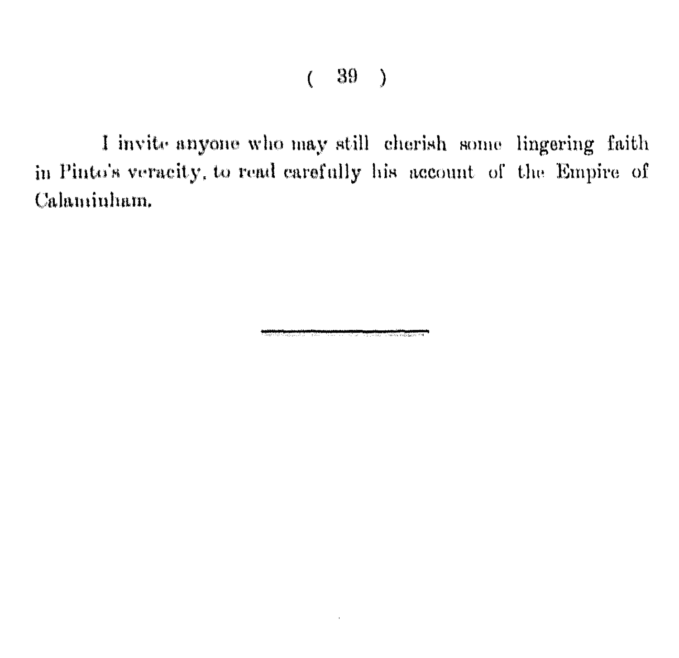## $-39$ )  $\overline{C}$

I invite anyone who may still cherish some lingering faith in Pinto's veracity, to read carefully his account of the Empire of Calaminham.